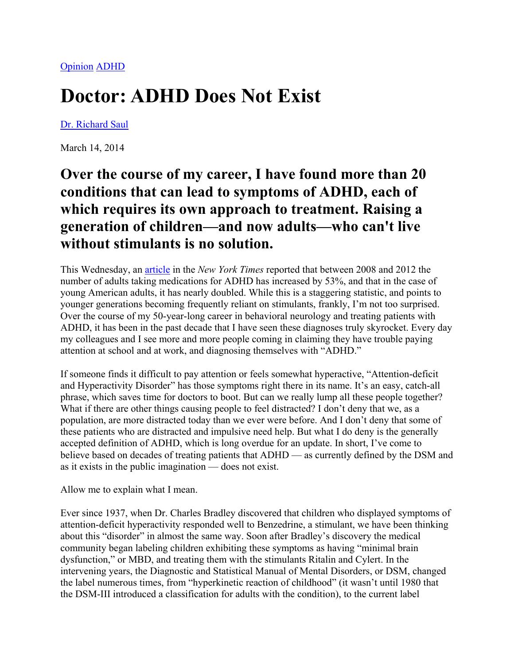[Opinion](http://time.com/opinion/) [ADHD](http://time.com/tag/adhd/)

## **Doctor: ADHD Does Not Exist**

[Dr. Richard Saul](http://time.com/author/dr-richard-saul/)

March 14, 2014

## **Over the course of my career, I have found more than 20 conditions that can lead to symptoms of ADHD, each of which requires its own approach to treatment. Raising a generation of children—and now adults—who can't live without stimulants is no solution.**

This Wednesday, an [article](http://www.nytimes.com/2014/03/12/us/report-says-medication-use-is-rising-for-adults-with-attention-disorder.html?_r=0) in the *New York Times* reported that between 2008 and 2012 the number of adults taking medications for ADHD has increased by 53%, and that in the case of young American adults, it has nearly doubled. While this is a staggering statistic, and points to younger generations becoming frequently reliant on stimulants, frankly, I'm not too surprised. Over the course of my 50-year-long career in behavioral neurology and treating patients with ADHD, it has been in the past decade that I have seen these diagnoses truly skyrocket. Every day my colleagues and I see more and more people coming in claiming they have trouble paying attention at school and at work, and diagnosing themselves with "ADHD."

If someone finds it difficult to pay attention or feels somewhat hyperactive, "Attention-deficit and Hyperactivity Disorder" has those symptoms right there in its name. It's an easy, catch-all phrase, which saves time for doctors to boot. But can we really lump all these people together? What if there are other things causing people to feel distracted? I don't deny that we, as a population, are more distracted today than we ever were before. And I don't deny that some of these patients who are distracted and impulsive need help. But what I do deny is the generally accepted definition of ADHD, which is long overdue for an update. In short, I've come to believe based on decades of treating patients that ADHD — as currently defined by the DSM and as it exists in the public imagination — does not exist.

Allow me to explain what I mean.

Ever since 1937, when Dr. Charles Bradley discovered that children who displayed symptoms of attention-deficit hyperactivity responded well to Benzedrine, a stimulant, we have been thinking about this "disorder" in almost the same way. Soon after Bradley's discovery the medical community began labeling children exhibiting these symptoms as having "minimal brain dysfunction," or MBD, and treating them with the stimulants Ritalin and Cylert. In the intervening years, the Diagnostic and Statistical Manual of Mental Disorders, or DSM, changed the label numerous times, from "hyperkinetic reaction of childhood" (it wasn't until 1980 that the DSM-III introduced a classification for adults with the condition), to the current label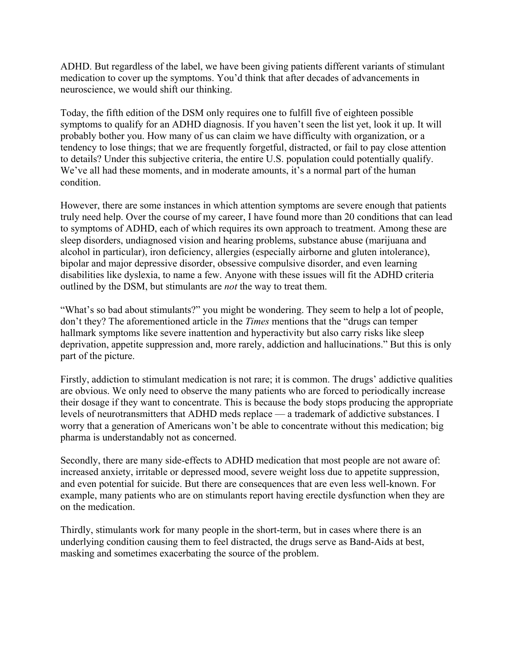ADHD. But regardless of the label, we have been giving patients different variants of stimulant medication to cover up the symptoms. You'd think that after decades of advancements in neuroscience, we would shift our thinking.

Today, the fifth edition of the DSM only requires one to fulfill five of eighteen possible symptoms to qualify for an ADHD diagnosis. If you haven't seen the list yet, look it up. It will probably bother you. How many of us can claim we have difficulty with organization, or a tendency to lose things; that we are frequently forgetful, distracted, or fail to pay close attention to details? Under this subjective criteria, the entire U.S. population could potentially qualify. We've all had these moments, and in moderate amounts, it's a normal part of the human condition.

However, there are some instances in which attention symptoms are severe enough that patients truly need help. Over the course of my career, I have found more than 20 conditions that can lead to symptoms of ADHD, each of which requires its own approach to treatment. Among these are sleep disorders, undiagnosed vision and hearing problems, substance abuse (marijuana and alcohol in particular), iron deficiency, allergies (especially airborne and gluten intolerance), bipolar and major depressive disorder, obsessive compulsive disorder, and even learning disabilities like dyslexia, to name a few. Anyone with these issues will fit the ADHD criteria outlined by the DSM, but stimulants are *not* the way to treat them.

"What's so bad about stimulants?" you might be wondering. They seem to help a lot of people, don't they? The aforementioned article in the *Times* mentions that the "drugs can temper hallmark symptoms like severe inattention and hyperactivity but also carry risks like sleep deprivation, appetite suppression and, more rarely, addiction and hallucinations." But this is only part of the picture.

Firstly, addiction to stimulant medication is not rare; it is common. The drugs' addictive qualities are obvious. We only need to observe the many patients who are forced to periodically increase their dosage if they want to concentrate. This is because the body stops producing the appropriate levels of neurotransmitters that ADHD meds replace — a trademark of addictive substances. I worry that a generation of Americans won't be able to concentrate without this medication; big pharma is understandably not as concerned.

Secondly, there are many side-effects to ADHD medication that most people are not aware of: increased anxiety, irritable or depressed mood, severe weight loss due to appetite suppression, and even potential for suicide. But there are consequences that are even less well-known. For example, many patients who are on stimulants report having erectile dysfunction when they are on the medication.

Thirdly, stimulants work for many people in the short-term, but in cases where there is an underlying condition causing them to feel distracted, the drugs serve as Band-Aids at best, masking and sometimes exacerbating the source of the problem.